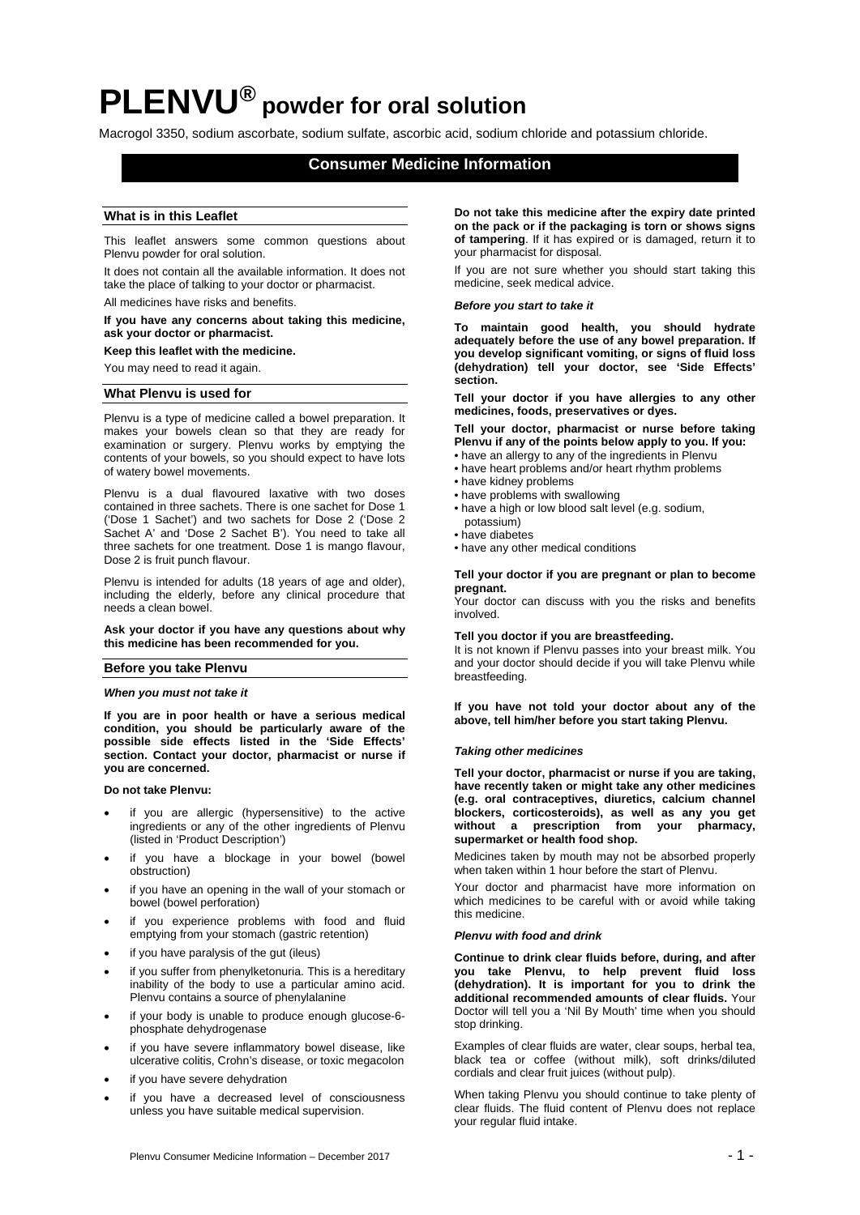# **PLENVU® powder for oral solution**

Macrogol 3350, sodium ascorbate, sodium sulfate, ascorbic acid, sodium chloride and potassium chloride.

# **Consumer Medicine Information**

# **What is in this Leaflet**

This leaflet answers some common questions about Plenvu powder for oral solution.

It does not contain all the available information. It does not take the place of talking to your doctor or pharmacist. All medicines have risks and benefits.

# **If you have any concerns about taking this medicine, ask your doctor or pharmacist.**

**Keep this leaflet with the medicine.** 

You may need to read it again.

# **What Plenvu is used for**

Plenvu is a type of medicine called a bowel preparation. It makes your bowels clean so that they are ready for examination or surgery. Plenvu works by emptying the contents of your bowels, so you should expect to have lots of watery bowel movements.

Plenvu is a dual flavoured laxative with two doses contained in three sachets. There is one sachet for Dose 1 ('Dose 1 Sachet') and two sachets for Dose 2 ('Dose 2 Sachet A' and 'Dose 2 Sachet B'). You need to take all three sachets for one treatment. Dose 1 is mango flavour, Dose 2 is fruit punch flavour.

Plenvu is intended for adults (18 years of age and older), including the elderly, before any clinical procedure that needs a clean bowel.

**Ask your doctor if you have any questions about why this medicine has been recommended for you.** 

## **Before you take Plenvu**

## *When you must not take it*

**If you are in poor health or have a serious medical condition, you should be particularly aware of the possible side effects listed in the 'Side Effects' section. Contact your doctor, pharmacist or nurse if you are concerned.** 

**Do not take Plenvu:** 

- if you are allergic (hypersensitive) to the active ingredients or any of the other ingredients of Plenvu (listed in 'Product Description')
- if you have a blockage in your bowel (bowel obstruction)
- if you have an opening in the wall of your stomach or bowel (bowel perforation)
- if you experience problems with food and fluid emptying from your stomach (gastric retention)
- if you have paralysis of the gut (ileus)
- if you suffer from phenylketonuria. This is a hereditary inability of the body to use a particular amino acid. Plenvu contains a source of phenylalanine
- if your body is unable to produce enough glucose-6 phosphate dehydrogenase
- if you have severe inflammatory bowel disease, like ulcerative colitis, Crohn's disease, or toxic megacolon
- if you have severe dehydration
- if you have a decreased level of consciousness unless you have suitable medical supervision.

**Do not take this medicine after the expiry date printed on the pack or if the packaging is torn or shows signs of tampering**. If it has expired or is damaged, return it to your pharmacist for disposal.

If you are not sure whether you should start taking this medicine, seek medical advice.

### *Before you start to take it*

**To maintain good health, you should hydrate adequately before the use of any bowel preparation. If you develop significant vomiting, or signs of fluid loss (dehydration) tell your doctor, see 'Side Effects' section.** 

**Tell your doctor if you have allergies to any other medicines, foods, preservatives or dyes.** 

**Tell your doctor, pharmacist or nurse before taking Plenvu if any of the points below apply to you. If you:** 

- have an allergy to any of the ingredients in Plenvu
- have heart problems and/or heart rhythm problems
- have kidney problems • have problems with swallowing
- have a high or low blood salt level (e.g. sodium,
- potassium)
- have diabetes
- have any other medical conditions

**Tell your doctor if you are pregnant or plan to become pregnant.** 

Your doctor can discuss with you the risks and benefits involved.

#### **Tell you doctor if you are breastfeeding.**

It is not known if Plenvu passes into your breast milk. You and your doctor should decide if you will take Plenvu while breastfeeding.

**If you have not told your doctor about any of the above, tell him/her before you start taking Plenvu.**

#### *Taking other medicines*

**Tell your doctor, pharmacist or nurse if you are taking, have recently taken or might take any other medicines (e.g. oral contraceptives, diuretics, calcium channel blockers, corticosteroids), as well as any you get without a prescription from your pharmacy, supermarket or health food shop.** 

Medicines taken by mouth may not be absorbed properly when taken within 1 hour before the start of Plenvu.

Your doctor and pharmacist have more information on which medicines to be careful with or avoid while taking this medicine.

#### *Plenvu with food and drink*

**Continue to drink clear fluids before, during, and after you take Plenvu, to help prevent fluid loss (dehydration). It is important for you to drink the additional recommended amounts of clear fluids.** Your Doctor will tell you a 'Nil By Mouth' time when you should stop drinking.

Examples of clear fluids are water, clear soups, herbal tea, black tea or coffee (without milk), soft drinks/diluted cordials and clear fruit juices (without pulp).

When taking Plenvu you should continue to take plenty of clear fluids. The fluid content of Plenvu does not replace your regular fluid intake.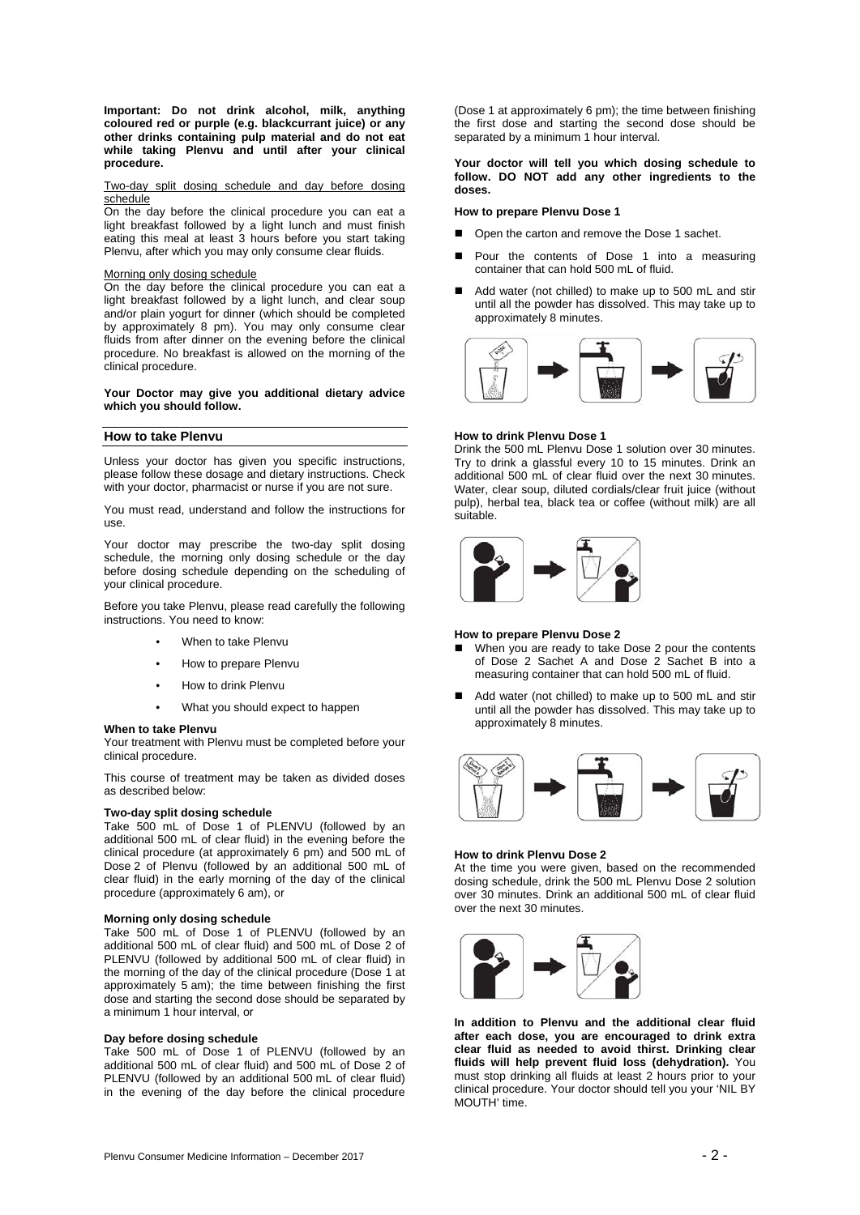**Important: Do not drink alcohol, milk, anything coloured red or purple (e.g. blackcurrant juice) or any other drinks containing pulp material and do not eat while taking Plenvu and until after your clinical procedure.** 

#### Two-day split dosing schedule and day before dosing schedule

On the day before the clinical procedure you can eat a light breakfast followed by a light lunch and must finish eating this meal at least 3 hours before you start taking Plenvu, after which you may only consume clear fluids.

## Morning only dosing schedule

On the day before the clinical procedure you can eat a light breakfast followed by a light lunch, and clear soup and/or plain yogurt for dinner (which should be completed by approximately 8 pm). You may only consume clear fluids from after dinner on the evening before the clinical procedure. No breakfast is allowed on the morning of the clinical procedure.

## **Your Doctor may give you additional dietary advice which you should follow.**

# **How to take Plenvu**

Unless your doctor has given you specific instructions, please follow these dosage and dietary instructions. Check with your doctor, pharmacist or nurse if you are not sure.

You must read, understand and follow the instructions for use.

Your doctor may prescribe the two-day split dosing schedule, the morning only dosing schedule or the day before dosing schedule depending on the scheduling of your clinical procedure.

Before you take Plenvu, please read carefully the following instructions. You need to know:

- When to take Plenvu
- How to prepare Plenvu
- How to drink Plenvu
- What you should expect to happen

#### **When to take Plenvu**

Your treatment with Plenvu must be completed before your clinical procedure.

This course of treatment may be taken as divided doses as described below:

## **Two-day split dosing schedule**

Take 500 mL of Dose 1 of PLENVU (followed by an additional 500 mL of clear fluid) in the evening before the clinical procedure (at approximately 6 pm) and 500 mL of Dose 2 of Plenvu (followed by an additional 500 mL of clear fluid) in the early morning of the day of the clinical procedure (approximately 6 am), or

#### **Morning only dosing schedule**

Take 500 mL of Dose 1 of PLENVU (followed by an additional 500 mL of clear fluid) and 500 mL of Dose 2 of PLENVU (followed by additional 500 mL of clear fluid) in the morning of the day of the clinical procedure (Dose 1 at approximately 5 am); the time between finishing the first dose and starting the second dose should be separated by a minimum 1 hour interval, or

# **Day before dosing schedule**

Take 500 mL of Dose 1 of PLENVU (followed by an additional 500 mL of clear fluid) and 500 mL of Dose 2 of PLENVU (followed by an additional 500 mL of clear fluid) in the evening of the day before the clinical procedure (Dose 1 at approximately 6 pm); the time between finishing the first dose and starting the second dose should be separated by a minimum 1 hour interval.

**Your doctor will tell you which dosing schedule to follow. DO NOT add any other ingredients to the doses.** 

## **How to prepare Plenvu Dose 1**

- Open the carton and remove the Dose 1 sachet.
- Pour the contents of Dose 1 into a measuring container that can hold 500 mL of fluid.
- Add water (not chilled) to make up to 500 mL and stir until all the powder has dissolved. This may take up to approximately 8 minutes.



#### **How to drink Plenvu Dose 1**

Drink the 500 mL Plenvu Dose 1 solution over 30 minutes. Try to drink a glassful every 10 to 15 minutes. Drink an additional 500 mL of clear fluid over the next 30 minutes. Water, clear soup, diluted cordials/clear fruit juice (without pulp), herbal tea, black tea or coffee (without milk) are all suitable.



## **How to prepare Plenvu Dose 2**

- When you are ready to take Dose 2 pour the contents of Dose 2 Sachet A and Dose 2 Sachet B into a measuring container that can hold 500 mL of fluid.
- Add water (not chilled) to make up to 500 mL and stir until all the powder has dissolved. This may take up to approximately 8 minutes.



## **How to drink Plenvu Dose 2**

At the time you were given, based on the recommended dosing schedule, drink the 500 mL Plenvu Dose 2 solution over 30 minutes. Drink an additional 500 mL of clear fluid over the next 30 minutes.



**In addition to Plenvu and the additional clear fluid after each dose, you are encouraged to drink extra clear fluid as needed to avoid thirst. Drinking clear fluids will help prevent fluid loss (dehydration).** You must stop drinking all fluids at least 2 hours prior to your clinical procedure. Your doctor should tell you your 'NIL BY MOUTH' time.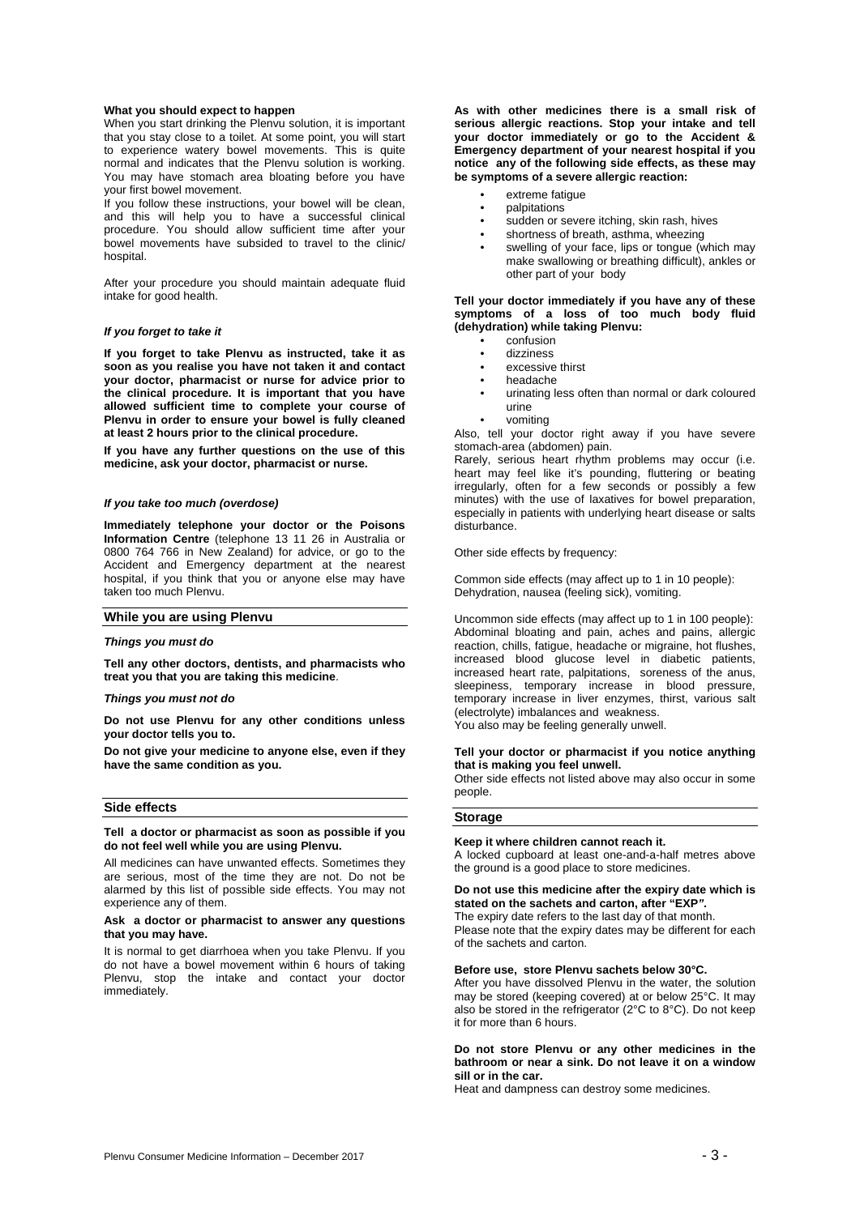## **What you should expect to happen**

When you start drinking the Plenvu solution, it is important that you stay close to a toilet. At some point, you will start to experience watery bowel movements. This is quite normal and indicates that the Plenvu solution is working. You may have stomach area bloating before you have your first bowel movement.

If you follow these instructions, your bowel will be clean, and this will help you to have a successful clinical procedure. You should allow sufficient time after your bowel movements have subsided to travel to the clinic/ hospital

After your procedure you should maintain adequate fluid intake for good health.

#### *If you forget to take it*

**If you forget to take Plenvu as instructed, take it as soon as you realise you have not taken it and contact your doctor, pharmacist or nurse for advice prior to the clinical procedure. It is important that you have allowed sufficient time to complete your course of Plenvu in order to ensure your bowel is fully cleaned at least 2 hours prior to the clinical procedure.** 

**If you have any further questions on the use of this medicine, ask your doctor, pharmacist or nurse.** 

## *If you take too much (overdose)*

**Immediately telephone your doctor or the Poisons Information Centre** (telephone 13 11 26 in Australia or 0800 764 766 in New Zealand) for advice, or go to the Accident and Emergency department at the nearest hospital, if you think that you or anyone else may have taken too much Plenvu.

## **While you are using Plenvu**

#### *Things you must do*

**Tell any other doctors, dentists, and pharmacists who treat you that you are taking this medicine**.

## *Things you must not do*

**Do not use Plenvu for any other conditions unless your doctor tells you to.** 

**Do not give your medicine to anyone else, even if they have the same condition as you.** 

#### **Side effects**

#### **Tell a doctor or pharmacist as soon as possible if you do not feel well while you are using Plenvu.**

All medicines can have unwanted effects. Sometimes they are serious, most of the time they are not. Do not be alarmed by this list of possible side effects. You may not experience any of them.

## **Ask a doctor or pharmacist to answer any questions that you may have.**

It is normal to get diarrhoea when you take Plenvu. If you do not have a bowel movement within 6 hours of taking Plenvu, stop the intake and contact your doctor immediately.

**As with other medicines there is a small risk of serious allergic reactions. Stop your intake and tell your doctor immediately or go to the Accident & Emergency department of your nearest hospital if you notice any of the following side effects, as these may be symptoms of a severe allergic reaction:** 

- extreme fatigue
- palpitations
- sudden or severe itching, skin rash, hives
- shortness of breath, asthma, wheezing
- swelling of your face, lips or tongue (which may make swallowing or breathing difficult), ankles or other part of your body

**Tell your doctor immediately if you have any of these symptoms of a loss of too much body fluid (dehydration) while taking Plenvu:** 

- confusion
- dizziness
- excessive thirst
- headache
- urinating less often than normal or dark coloured urine
- vomiting

Also, tell your doctor right away if you have severe stomach-area (abdomen) pain.

Rarely, serious heart rhythm problems may occur (i.e. heart may feel like it's pounding, fluttering or beating irregularly, often for a few seconds or possibly a few minutes) with the use of laxatives for bowel preparation, especially in patients with underlying heart disease or salts disturbance.

Other side effects by frequency:

Common side effects (may affect up to 1 in 10 people): Dehydration, nausea (feeling sick), vomiting.

Uncommon side effects (may affect up to 1 in 100 people): Abdominal bloating and pain, aches and pains, allergic reaction, chills, fatigue, headache or migraine, hot flushes, increased blood glucose level in diabetic patients, increased heart rate, palpitations, soreness of the anus, sleepiness, temporary increase in blood pressure, temporary increase in liver enzymes, thirst, various salt (electrolyte) imbalances and weakness. You also may be feeling generally unwell.

#### **Tell your doctor or pharmacist if you notice anything that is making you feel unwell.**

Other side effects not listed above may also occur in some people.

#### **Storage**

#### **Keep it where children cannot reach it.**

A locked cupboard at least one-and-a-half metres above the ground is a good place to store medicines.

## **Do not use this medicine after the expiry date which is stated on the sachets and carton, after "EXP***".*

The expiry date refers to the last day of that month.

Please note that the expiry dates may be different for each of the sachets and carton.

# **Before use, store Plenvu sachets below 30°C.**

After you have dissolved Plenvu in the water, the solution may be stored (keeping covered) at or below 25°C. It may also be stored in the refrigerator (2°C to 8°C). Do not keep it for more than 6 hours.

## **Do not store Plenvu or any other medicines in the bathroom or near a sink. Do not leave it on a window sill or in the car.**

Heat and dampness can destroy some medicines.